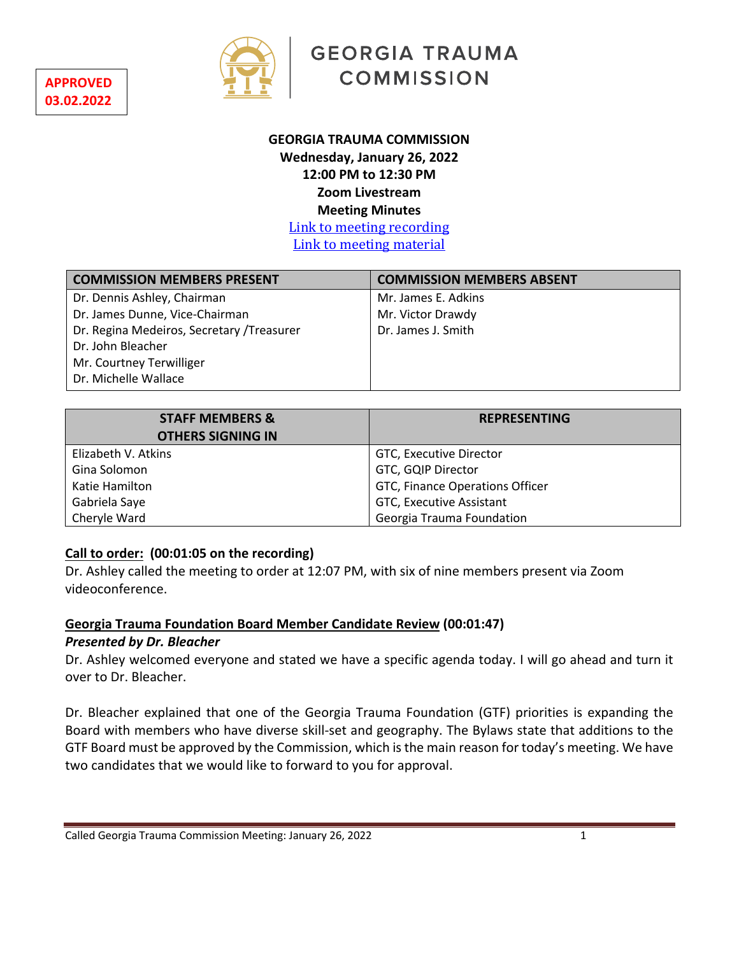



**GEORGIA TRAUMA COMMISSION** 

## **GEORGIA TRAUMA COMMISSION Wednesday, January 26, 2022 12:00 PM to 12:30 PM Zoom Livestream Meeting Minutes**

Link to meeting recording Link to meeting material

| <b>COMMISSION MEMBERS PRESENT</b>          | <b>COMMISSION MEMBERS ABSENT</b> |
|--------------------------------------------|----------------------------------|
| Dr. Dennis Ashley, Chairman                | Mr. James E. Adkins              |
| Dr. James Dunne, Vice-Chairman             | Mr. Victor Drawdy                |
| Dr. Regina Medeiros, Secretary / Treasurer | Dr. James J. Smith               |
| Dr. John Bleacher                          |                                  |
| Mr. Courtney Terwilliger                   |                                  |
| Dr. Michelle Wallace                       |                                  |
|                                            |                                  |

| <b>STAFF MEMBERS &amp;</b> | <b>REPRESENTING</b>             |
|----------------------------|---------------------------------|
| <b>OTHERS SIGNING IN</b>   |                                 |
| Elizabeth V. Atkins        | GTC, Executive Director         |
| Gina Solomon               | GTC, GQIP Director              |
| Katie Hamilton             | GTC, Finance Operations Officer |
| Gabriela Saye              | GTC, Executive Assistant        |
| Cheryle Ward               | Georgia Trauma Foundation       |

## **Call to order: (00:01:05 on the recording)**

Dr. Ashley called the meeting to order at 12:07 PM, with six of nine members present via Zoom videoconference.

## **Georgia Trauma Foundation Board Member Candidate Review (00:01:47)**

## *Presented by Dr. Bleacher*

Dr. Ashley welcomed everyone and stated we have a specific agenda today. I will go ahead and turn it over to Dr. Bleacher.

Dr. Bleacher explained that one of the Georgia Trauma Foundation (GTF) priorities is expanding the Board with members who have diverse skill-set and geography. The Bylaws state that additions to the GTF Board must be approved by the Commission, which is the main reason for today's meeting. We have two candidates that we would like to forward to you for approval.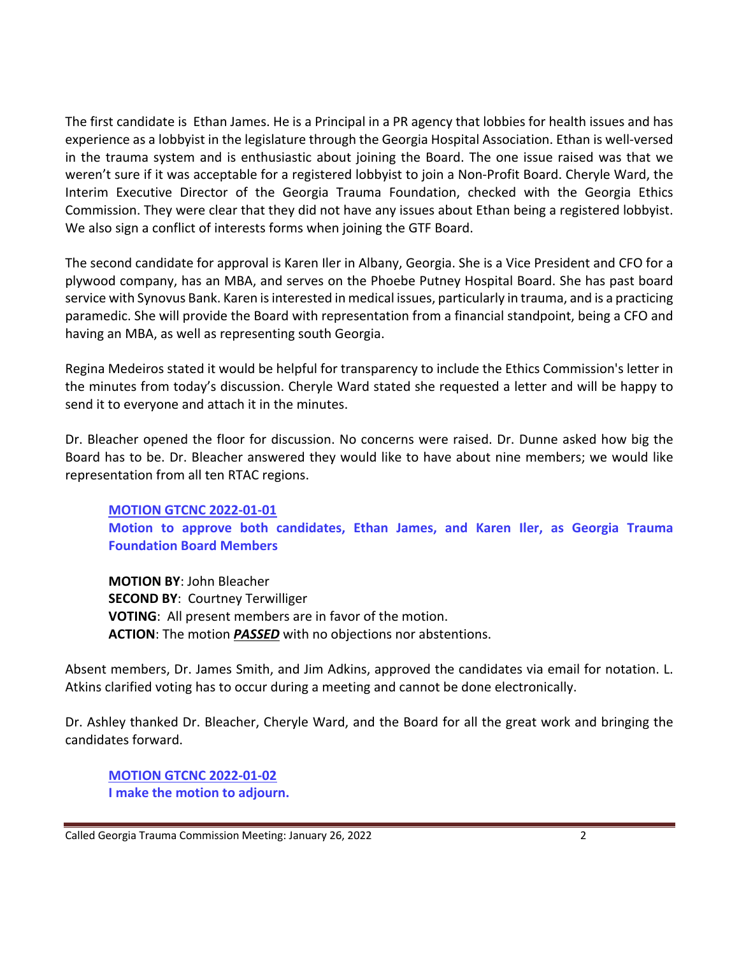The first candidate is Ethan James. He is a Principal in a PR agency that lobbies for health issues and has experience as a lobbyist in the legislature through the Georgia Hospital Association. Ethan is well-versed in the trauma system and is enthusiastic about joining the Board. The one issue raised was that we weren't sure if it was acceptable for a registered lobbyist to join a Non-Profit Board. Cheryle Ward, the Interim Executive Director of the Georgia Trauma Foundation, checked with the Georgia Ethics Commission. They were clear that they did not have any issues about Ethan being a registered lobbyist. We also sign a conflict of interests forms when joining the GTF Board.

The second candidate for approval is Karen Iler in Albany, Georgia. She is a Vice President and CFO for a plywood company, has an MBA, and serves on the Phoebe Putney Hospital Board. She has past board service with Synovus Bank. Karen is interested in medical issues, particularly in trauma, and is a practicing paramedic. She will provide the Board with representation from a financial standpoint, being a CFO and having an MBA, as well as representing south Georgia.

Regina Medeiros stated it would be helpful for transparency to include the Ethics Commission's letter in the minutes from today's discussion. Cheryle Ward stated she requested a letter and will be happy to send it to everyone and attach it in the minutes.

Dr. Bleacher opened the floor for discussion. No concerns were raised. Dr. Dunne asked how big the Board has to be. Dr. Bleacher answered they would like to have about nine members; we would like representation from all ten RTAC regions.

**MOTION GTCNC 2022-01-01 Motion to approve both candidates, Ethan James, and Karen Iler, as Georgia Trauma Foundation Board Members** 

**MOTION BY**: John Bleacher **SECOND BY**: Courtney Terwilliger **VOTING**: All present members are in favor of the motion. **ACTION**: The motion *PASSED* with no objections nor abstentions.

Absent members, Dr. James Smith, and Jim Adkins, approved the candidates via email for notation. L. Atkins clarified voting has to occur during a meeting and cannot be done electronically.

Dr. Ashley thanked Dr. Bleacher, Cheryle Ward, and the Board for all the great work and bringing the candidates forward.

**MOTION GTCNC 2022-01-02 I make the motion to adjourn.**